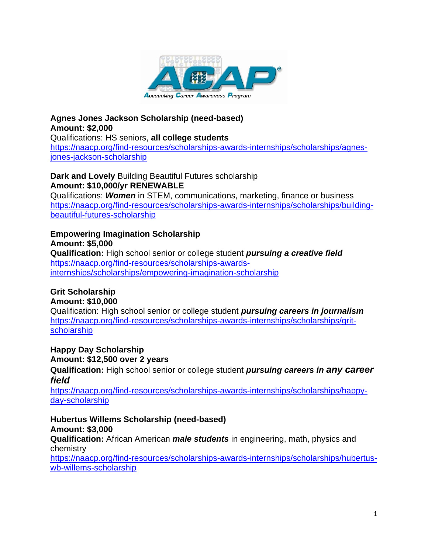

## **Agnes Jones Jackson Scholarship (need-based) Amount: \$2,000** Qualifications: HS seniors, **all college students** [https://naacp.org/find-resources/scholarships-awards-internships/scholarships/agnes](https://emea01.safelinks.protection.outlook.com/?url=https%3A%2F%2Fnaacp.org%2Ffind-resources%2Fscholarships-awards-internships%2Fscholarships%2Fagnes-jones-jackson-scholarship&data=04%7C01%7C%7Cf7aa217a091c452fe73a08d92c28add0%7C84df9e7fe9f640afb435aaaaaaaaaaaa%7C1%7C0%7C637589375485092200%7CUnknown%7CTWFpbGZsb3d8eyJWIjoiMC4wLjAwMDAiLCJQIjoiV2luMzIiLCJBTiI6Ik1haWwiLCJXVCI6Mn0%3D%7C1000&sdata=DrKDkOCLs%2BIe5Q3iDAw0K8VffFwwunB6V5bq1JjYSSo%3D&reserved=0)[jones-jackson-scholarship](https://emea01.safelinks.protection.outlook.com/?url=https%3A%2F%2Fnaacp.org%2Ffind-resources%2Fscholarships-awards-internships%2Fscholarships%2Fagnes-jones-jackson-scholarship&data=04%7C01%7C%7Cf7aa217a091c452fe73a08d92c28add0%7C84df9e7fe9f640afb435aaaaaaaaaaaa%7C1%7C0%7C637589375485092200%7CUnknown%7CTWFpbGZsb3d8eyJWIjoiMC4wLjAwMDAiLCJQIjoiV2luMzIiLCJBTiI6Ik1haWwiLCJXVCI6Mn0%3D%7C1000&sdata=DrKDkOCLs%2BIe5Q3iDAw0K8VffFwwunB6V5bq1JjYSSo%3D&reserved=0)

**Dark and Lovely** Building Beautiful Futures scholarship **Amount: \$10,000/yr RENEWABLE**

Qualifications: *Women* in STEM, communications, marketing, finance or business [https://naacp.org/find-resources/scholarships-awards-internships/scholarships/building](https://emea01.safelinks.protection.outlook.com/?url=https%3A%2F%2Fnaacp.org%2Ffind-resources%2Fscholarships-awards-internships%2Fscholarships%2Fbuilding-beautiful-futures-scholarship&data=04%7C01%7C%7Cf7aa217a091c452fe73a08d92c28add0%7C84df9e7fe9f640afb435aaaaaaaaaaaa%7C1%7C0%7C637589375485092200%7CUnknown%7CTWFpbGZsb3d8eyJWIjoiMC4wLjAwMDAiLCJQIjoiV2luMzIiLCJBTiI6Ik1haWwiLCJXVCI6Mn0%3D%7C1000&sdata=rJC1z56Nw0UgpgALAY%2F8mJrkNiKQ7J9FEAzOS2zvjGc%3D&reserved=0)[beautiful-futures-scholarship](https://emea01.safelinks.protection.outlook.com/?url=https%3A%2F%2Fnaacp.org%2Ffind-resources%2Fscholarships-awards-internships%2Fscholarships%2Fbuilding-beautiful-futures-scholarship&data=04%7C01%7C%7Cf7aa217a091c452fe73a08d92c28add0%7C84df9e7fe9f640afb435aaaaaaaaaaaa%7C1%7C0%7C637589375485092200%7CUnknown%7CTWFpbGZsb3d8eyJWIjoiMC4wLjAwMDAiLCJQIjoiV2luMzIiLCJBTiI6Ik1haWwiLCJXVCI6Mn0%3D%7C1000&sdata=rJC1z56Nw0UgpgALAY%2F8mJrkNiKQ7J9FEAzOS2zvjGc%3D&reserved=0)

**Empowering Imagination Scholarship Amount: \$5,000 Qualification:** High school senior or college student *pursuing a creative field* [https://naacp.org/find-resources/scholarships-awards](https://emea01.safelinks.protection.outlook.com/?url=https%3A%2F%2Fnaacp.org%2Ffind-resources%2Fscholarships-awards-internships%2Fscholarships%2Fempowering-imagination-scholarship&data=04%7C01%7C%7Cf7aa217a091c452fe73a08d92c28add0%7C84df9e7fe9f640afb435aaaaaaaaaaaa%7C1%7C0%7C637589375485092200%7CUnknown%7CTWFpbGZsb3d8eyJWIjoiMC4wLjAwMDAiLCJQIjoiV2luMzIiLCJBTiI6Ik1haWwiLCJXVCI6Mn0%3D%7C1000&sdata=jEsr158yi%2FINOaAUHst5WT55TuLpbx7W8bZqWAJg0H8%3D&reserved=0)[internships/scholarships/empowering-imagination-scholarship](https://emea01.safelinks.protection.outlook.com/?url=https%3A%2F%2Fnaacp.org%2Ffind-resources%2Fscholarships-awards-internships%2Fscholarships%2Fempowering-imagination-scholarship&data=04%7C01%7C%7Cf7aa217a091c452fe73a08d92c28add0%7C84df9e7fe9f640afb435aaaaaaaaaaaa%7C1%7C0%7C637589375485092200%7CUnknown%7CTWFpbGZsb3d8eyJWIjoiMC4wLjAwMDAiLCJQIjoiV2luMzIiLCJBTiI6Ik1haWwiLCJXVCI6Mn0%3D%7C1000&sdata=jEsr158yi%2FINOaAUHst5WT55TuLpbx7W8bZqWAJg0H8%3D&reserved=0)

**Grit Scholarship Amount: \$10,000**

Qualification: High school senior or college student *pursuing careers in journalism* [https://naacp.org/find-resources/scholarships-awards-internships/scholarships/grit](https://emea01.safelinks.protection.outlook.com/?url=https%3A%2F%2Fnaacp.org%2Ffind-resources%2Fscholarships-awards-internships%2Fscholarships%2Fgrit-scholarship&data=04%7C01%7C%7Cf7aa217a091c452fe73a08d92c28add0%7C84df9e7fe9f640afb435aaaaaaaaaaaa%7C1%7C0%7C637589375485102155%7CUnknown%7CTWFpbGZsb3d8eyJWIjoiMC4wLjAwMDAiLCJQIjoiV2luMzIiLCJBTiI6Ik1haWwiLCJXVCI6Mn0%3D%7C1000&sdata=oVqeDTnoGpHYtq6TcoTZ07L8MngHjHeiMImRcW%2BIy1Y%3D&reserved=0)[scholarship](https://emea01.safelinks.protection.outlook.com/?url=https%3A%2F%2Fnaacp.org%2Ffind-resources%2Fscholarships-awards-internships%2Fscholarships%2Fgrit-scholarship&data=04%7C01%7C%7Cf7aa217a091c452fe73a08d92c28add0%7C84df9e7fe9f640afb435aaaaaaaaaaaa%7C1%7C0%7C637589375485102155%7CUnknown%7CTWFpbGZsb3d8eyJWIjoiMC4wLjAwMDAiLCJQIjoiV2luMzIiLCJBTiI6Ik1haWwiLCJXVCI6Mn0%3D%7C1000&sdata=oVqeDTnoGpHYtq6TcoTZ07L8MngHjHeiMImRcW%2BIy1Y%3D&reserved=0)

**Happy Day Scholarship Amount: \$12,500 over 2 years Qualification:** High school senior or college student *pursuing careers in any career field*

[https://naacp.org/find-resources/scholarships-awards-internships/scholarships/happy](https://emea01.safelinks.protection.outlook.com/?url=https%3A%2F%2Fnaacp.org%2Ffind-resources%2Fscholarships-awards-internships%2Fscholarships%2Fhappy-day-scholarship&data=04%7C01%7C%7Cf7aa217a091c452fe73a08d92c28add0%7C84df9e7fe9f640afb435aaaaaaaaaaaa%7C1%7C0%7C637589375485102155%7CUnknown%7CTWFpbGZsb3d8eyJWIjoiMC4wLjAwMDAiLCJQIjoiV2luMzIiLCJBTiI6Ik1haWwiLCJXVCI6Mn0%3D%7C1000&sdata=PcWAKEY9ovrVFwYceyNLg91uTW8DvCbvMCxzdhx%2BmjQ%3D&reserved=0)[day-scholarship](https://emea01.safelinks.protection.outlook.com/?url=https%3A%2F%2Fnaacp.org%2Ffind-resources%2Fscholarships-awards-internships%2Fscholarships%2Fhappy-day-scholarship&data=04%7C01%7C%7Cf7aa217a091c452fe73a08d92c28add0%7C84df9e7fe9f640afb435aaaaaaaaaaaa%7C1%7C0%7C637589375485102155%7CUnknown%7CTWFpbGZsb3d8eyJWIjoiMC4wLjAwMDAiLCJQIjoiV2luMzIiLCJBTiI6Ik1haWwiLCJXVCI6Mn0%3D%7C1000&sdata=PcWAKEY9ovrVFwYceyNLg91uTW8DvCbvMCxzdhx%2BmjQ%3D&reserved=0)

**Hubertus Willems Scholarship (need-based) Amount: \$3,000 Qualification:** African American *male students* in engineering, math, physics and chemistry

[https://naacp.org/find-resources/scholarships-awards-internships/scholarships/hubertus](https://emea01.safelinks.protection.outlook.com/?url=https%3A%2F%2Fnaacp.org%2Ffind-resources%2Fscholarships-awards-internships%2Fscholarships%2Fhubertus-wb-willems-scholarship&data=04%7C01%7C%7Cf7aa217a091c452fe73a08d92c28add0%7C84df9e7fe9f640afb435aaaaaaaaaaaa%7C1%7C0%7C637589375485112112%7CUnknown%7CTWFpbGZsb3d8eyJWIjoiMC4wLjAwMDAiLCJQIjoiV2luMzIiLCJBTiI6Ik1haWwiLCJXVCI6Mn0%3D%7C1000&sdata=uB%2BX6cYjiZisqTYjmJFs%2Fmos26uSY8nlM%2BHJBXssYm4%3D&reserved=0)[wb-willems-scholarship](https://emea01.safelinks.protection.outlook.com/?url=https%3A%2F%2Fnaacp.org%2Ffind-resources%2Fscholarships-awards-internships%2Fscholarships%2Fhubertus-wb-willems-scholarship&data=04%7C01%7C%7Cf7aa217a091c452fe73a08d92c28add0%7C84df9e7fe9f640afb435aaaaaaaaaaaa%7C1%7C0%7C637589375485112112%7CUnknown%7CTWFpbGZsb3d8eyJWIjoiMC4wLjAwMDAiLCJQIjoiV2luMzIiLCJBTiI6Ik1haWwiLCJXVCI6Mn0%3D%7C1000&sdata=uB%2BX6cYjiZisqTYjmJFs%2Fmos26uSY8nlM%2BHJBXssYm4%3D&reserved=0)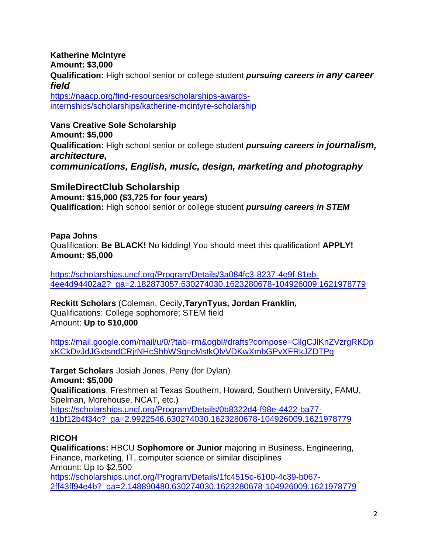**Katherine McIntyre Amount: \$3,000 Qualification:** High school senior or college student *pursuing careers in any career field*

[https://naacp.org/find-resources/scholarships-awards](https://emea01.safelinks.protection.outlook.com/?url=https%3A%2F%2Fnaacp.org%2Ffind-resources%2Fscholarships-awards-internships%2Fscholarships%2Fkatherine-mcintyre-scholarship&data=04%7C01%7C%7Cf7aa217a091c452fe73a08d92c28add0%7C84df9e7fe9f640afb435aaaaaaaaaaaa%7C1%7C0%7C637589375485112112%7CUnknown%7CTWFpbGZsb3d8eyJWIjoiMC4wLjAwMDAiLCJQIjoiV2luMzIiLCJBTiI6Ik1haWwiLCJXVCI6Mn0%3D%7C1000&sdata=87C%2BUHwMHamqvasZqIIZkWzbCr%2FTXq5U4bbzypUty9c%3D&reserved=0)[internships/scholarships/katherine-mcintyre-scholarship](https://emea01.safelinks.protection.outlook.com/?url=https%3A%2F%2Fnaacp.org%2Ffind-resources%2Fscholarships-awards-internships%2Fscholarships%2Fkatherine-mcintyre-scholarship&data=04%7C01%7C%7Cf7aa217a091c452fe73a08d92c28add0%7C84df9e7fe9f640afb435aaaaaaaaaaaa%7C1%7C0%7C637589375485112112%7CUnknown%7CTWFpbGZsb3d8eyJWIjoiMC4wLjAwMDAiLCJQIjoiV2luMzIiLCJBTiI6Ik1haWwiLCJXVCI6Mn0%3D%7C1000&sdata=87C%2BUHwMHamqvasZqIIZkWzbCr%2FTXq5U4bbzypUty9c%3D&reserved=0)

**Vans Creative Sole Scholarship Amount: \$5,000 Qualification:** High school senior or college student *pursuing careers in journalism, architecture, communications, English, music, design, marketing and photography*

**SmileDirectClub Scholarship Amount: \$15,000 (\$3,725 for four years) Qualification:** High school senior or college student *pursuing careers in STEM*

**Papa Johns** Qualification: **Be BLACK!** No kidding! You should meet this qualification! **APPLY! Amount: \$5,000**

[https://scholarships.uncf.org/Program/Details/3a084fc3-8237-4e9f-81eb-](https://emea01.safelinks.protection.outlook.com/?url=https%3A%2F%2Fscholarships.uncf.org%2FProgram%2FDetails%2F3a084fc3-8237-4e9f-81eb-4ee4d94402a2%3F_ga%3D2.182873057.630274030.1623280678-104926009.1621978779&data=04%7C01%7C%7Cf7aa217a091c452fe73a08d92c28add0%7C84df9e7fe9f640afb435aaaaaaaaaaaa%7C1%7C0%7C637589375485112112%7CUnknown%7CTWFpbGZsb3d8eyJWIjoiMC4wLjAwMDAiLCJQIjoiV2luMzIiLCJBTiI6Ik1haWwiLCJXVCI6Mn0%3D%7C1000&sdata=KMJSjZYVL00ee1s3NRARHtdgr%2BOWgd34KJKBquDakyw%3D&reserved=0)[4ee4d94402a2?\\_ga=2.182873057.630274030.1623280678-104926009.1621978779](https://emea01.safelinks.protection.outlook.com/?url=https%3A%2F%2Fscholarships.uncf.org%2FProgram%2FDetails%2F3a084fc3-8237-4e9f-81eb-4ee4d94402a2%3F_ga%3D2.182873057.630274030.1623280678-104926009.1621978779&data=04%7C01%7C%7Cf7aa217a091c452fe73a08d92c28add0%7C84df9e7fe9f640afb435aaaaaaaaaaaa%7C1%7C0%7C637589375485112112%7CUnknown%7CTWFpbGZsb3d8eyJWIjoiMC4wLjAwMDAiLCJQIjoiV2luMzIiLCJBTiI6Ik1haWwiLCJXVCI6Mn0%3D%7C1000&sdata=KMJSjZYVL00ee1s3NRARHtdgr%2BOWgd34KJKBquDakyw%3D&reserved=0)

**Reckitt Scholars** (Coleman, Cecily,**TarynTyus, Jordan Franklin,** Qualifications: College sophomore; STEM field Amount: **Up to \$10,000**

[https://mail.google.com/mail/u/0/?tab=rm&ogbl#drafts?compose=CllgCJlKnZVzrgRKDp](https://emea01.safelinks.protection.outlook.com/?url=https%3A%2F%2Fmail.google.com%2Fmail%2Fu%2F0%2F%3Ftab%3Drm%26ogbl%23drafts%3Fcompose%3DCllgCJlKnZVzrgRKDpxKCkDvJdJGxtsndCRjrNHcShbWSqncMstkQlvVDKwXmbGPvXFRkJZDTPg&data=04%7C01%7C%7Cf7aa217a091c452fe73a08d92c28add0%7C84df9e7fe9f640afb435aaaaaaaaaaaa%7C1%7C0%7C637589375485122072%7CUnknown%7CTWFpbGZsb3d8eyJWIjoiMC4wLjAwMDAiLCJQIjoiV2luMzIiLCJBTiI6Ik1haWwiLCJXVCI6Mn0%3D%7C1000&sdata=k2JeQpnk68qil5gmH1m%2B25Sr0%2F3DVfU03EXJCwLUUfI%3D&reserved=0) [xKCkDvJdJGxtsndCRjrNHcShbWSqncMstkQlvVDKwXmbGPvXFRkJZDTPg](https://emea01.safelinks.protection.outlook.com/?url=https%3A%2F%2Fmail.google.com%2Fmail%2Fu%2F0%2F%3Ftab%3Drm%26ogbl%23drafts%3Fcompose%3DCllgCJlKnZVzrgRKDpxKCkDvJdJGxtsndCRjrNHcShbWSqncMstkQlvVDKwXmbGPvXFRkJZDTPg&data=04%7C01%7C%7Cf7aa217a091c452fe73a08d92c28add0%7C84df9e7fe9f640afb435aaaaaaaaaaaa%7C1%7C0%7C637589375485122072%7CUnknown%7CTWFpbGZsb3d8eyJWIjoiMC4wLjAwMDAiLCJQIjoiV2luMzIiLCJBTiI6Ik1haWwiLCJXVCI6Mn0%3D%7C1000&sdata=k2JeQpnk68qil5gmH1m%2B25Sr0%2F3DVfU03EXJCwLUUfI%3D&reserved=0)

**Target Scholars** Josiah Jones, Peny (for Dylan) **Amount: \$5,000 Qualifications**: Freshmen at Texas Southern, Howard, Southern University, FAMU, Spelman, Morehouse, NCAT, etc.) [https://scholarships.uncf.org/Program/Details/0b8322d4-f98e-4422-ba77-](https://emea01.safelinks.protection.outlook.com/?url=https%3A%2F%2Fscholarships.uncf.org%2FProgram%2FDetails%2F0b8322d4-f98e-4422-ba77-41bf12b4f34c%3F_ga%3D2.9922546.630274030.1623280678-104926009.1621978779&data=04%7C01%7C%7Cf7aa217a091c452fe73a08d92c28add0%7C84df9e7fe9f640afb435aaaaaaaaaaaa%7C1%7C0%7C637589375485122072%7CUnknown%7CTWFpbGZsb3d8eyJWIjoiMC4wLjAwMDAiLCJQIjoiV2luMzIiLCJBTiI6Ik1haWwiLCJXVCI6Mn0%3D%7C1000&sdata=VaRvCjvBPvpqm7zX1L08ADG8mtFhWh8PwUxO0D%2FvgGc%3D&reserved=0) [41bf12b4f34c?\\_ga=2.9922546.630274030.1623280678-104926009.1621978779](https://emea01.safelinks.protection.outlook.com/?url=https%3A%2F%2Fscholarships.uncf.org%2FProgram%2FDetails%2F0b8322d4-f98e-4422-ba77-41bf12b4f34c%3F_ga%3D2.9922546.630274030.1623280678-104926009.1621978779&data=04%7C01%7C%7Cf7aa217a091c452fe73a08d92c28add0%7C84df9e7fe9f640afb435aaaaaaaaaaaa%7C1%7C0%7C637589375485122072%7CUnknown%7CTWFpbGZsb3d8eyJWIjoiMC4wLjAwMDAiLCJQIjoiV2luMzIiLCJBTiI6Ik1haWwiLCJXVCI6Mn0%3D%7C1000&sdata=VaRvCjvBPvpqm7zX1L08ADG8mtFhWh8PwUxO0D%2FvgGc%3D&reserved=0)

## **RICOH**

**Qualifications:** HBCU **Sophomore or Junior** majoring in Business, Engineering, Finance, marketing, IT, computer science or similar disciplines Amount: Up to \$2,500 [https://scholarships.uncf.org/Program/Details/1fc4515c-6100-4c39-b067-](https://emea01.safelinks.protection.outlook.com/?url=https%3A%2F%2Fscholarships.uncf.org%2FProgram%2FDetails%2F1fc4515c-6100-4c39-b067-2ff43ff94e4b%3F_ga%3D2.148890480.630274030.1623280678-104926009.1621978779&data=04%7C01%7C%7Cf7aa217a091c452fe73a08d92c28add0%7C84df9e7fe9f640afb435aaaaaaaaaaaa%7C1%7C0%7C637589375485122072%7CUnknown%7CTWFpbGZsb3d8eyJWIjoiMC4wLjAwMDAiLCJQIjoiV2luMzIiLCJBTiI6Ik1haWwiLCJXVCI6Mn0%3D%7C1000&sdata=%2B%2BVO9x2qYQeffMeqWSXP27X5c6Rcs3AXfsdjRsR2RVw%3D&reserved=0) [2ff43ff94e4b?\\_ga=2.148890480.630274030.1623280678-104926009.1621978779](https://emea01.safelinks.protection.outlook.com/?url=https%3A%2F%2Fscholarships.uncf.org%2FProgram%2FDetails%2F1fc4515c-6100-4c39-b067-2ff43ff94e4b%3F_ga%3D2.148890480.630274030.1623280678-104926009.1621978779&data=04%7C01%7C%7Cf7aa217a091c452fe73a08d92c28add0%7C84df9e7fe9f640afb435aaaaaaaaaaaa%7C1%7C0%7C637589375485122072%7CUnknown%7CTWFpbGZsb3d8eyJWIjoiMC4wLjAwMDAiLCJQIjoiV2luMzIiLCJBTiI6Ik1haWwiLCJXVCI6Mn0%3D%7C1000&sdata=%2B%2BVO9x2qYQeffMeqWSXP27X5c6Rcs3AXfsdjRsR2RVw%3D&reserved=0)